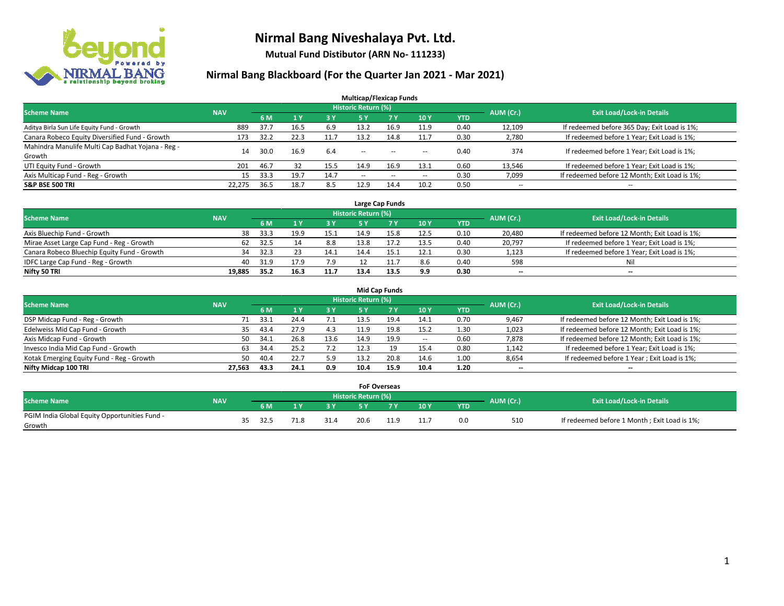

**Mutual Fund Distibutor (ARN No- 111233)**

| <b>Multicap/Flexicap Funds</b>                    |            |      |                |            |                            |        |        |            |                          |                                               |  |  |  |
|---------------------------------------------------|------------|------|----------------|------------|----------------------------|--------|--------|------------|--------------------------|-----------------------------------------------|--|--|--|
| <b>Scheme Name</b>                                | <b>NAV</b> |      |                |            | <b>Historic Return (%)</b> |        |        |            | AUM (Cr.)                | <b>Exit Load/Lock-in Details</b>              |  |  |  |
|                                                   |            | 6 M  | 1 <sup>v</sup> | <b>3 Y</b> | 5 Y                        | 7Y     | 10Y    | <b>YTD</b> |                          |                                               |  |  |  |
| Aditya Birla Sun Life Equity Fund - Growth        | 889        | 37.7 | 16.5           | 6.9        | 13.2                       | 16.9   | 11.9   | 0.40       | 12,109                   | If redeemed before 365 Day; Exit Load is 1%;  |  |  |  |
| Canara Robeco Equity Diversified Fund - Growth    | 173        | 32.2 | 22.3           | 11.7       | 13.2                       | 14.8   | 11.7   | 0.30       | 2,780                    | If redeemed before 1 Year; Exit Load is 1%;   |  |  |  |
| Mahindra Manulife Multi Cap Badhat Yojana - Reg - | 14         | 30.0 | 16.9           | 6.4        | $\sim$                     | $\sim$ |        | 0.40       | 374                      | If redeemed before 1 Year; Exit Load is 1%;   |  |  |  |
| Growth                                            |            |      |                |            |                            |        | $\sim$ |            |                          |                                               |  |  |  |
| UTI Equity Fund - Growth                          | 201        | 46.7 | 32             | 15.5       | 14.9                       | 16.9   | 13.1   | 0.60       | 13,546                   | If redeemed before 1 Year; Exit Load is 1%;   |  |  |  |
| Axis Multicap Fund - Reg - Growth                 | 15         | 33.3 | 19.7           | 14.7       | $\overline{\phantom{a}}$   | $-$    | --     | 0.30       | 7,099                    | If redeemed before 12 Month; Exit Load is 1%; |  |  |  |
| <b>S&amp;P BSE 500 TRI</b>                        | 22,275     | 36.5 | 18.7           | 8.5        | 12.9                       | 14.4   | 10.2   | 0.50       | $\overline{\phantom{a}}$ | $- -$                                         |  |  |  |

|                                             |            |      |      |      |                            | Large Cap Funds |      |            |           |                                               |
|---------------------------------------------|------------|------|------|------|----------------------------|-----------------|------|------------|-----------|-----------------------------------------------|
| <b>Scheme Name</b>                          | <b>NAV</b> |      |      |      | <b>Historic Return (%)</b> |                 |      |            | AUM (Cr.) | <b>Exit Load/Lock-in Details</b>              |
|                                             |            | 6 M  |      | 3Y   |                            |                 | 10Y  | <b>YTD</b> |           |                                               |
| Axis Bluechip Fund - Growth                 | 38         | 33.3 | 19.9 | 15.1 | 14.9                       | 15.8            | 12.5 | 0.10       | 20,480    | If redeemed before 12 Month; Exit Load is 1%; |
| Mirae Asset Large Cap Fund - Reg - Growth   | 62         | 32.5 |      | 8.8  | 13.8                       |                 | 13.5 | 0.40       | 20,797    | If redeemed before 1 Year; Exit Load is 1%;   |
| Canara Robeco Bluechip Equity Fund - Growth | 34         | 32.3 |      | 14.1 | 14.4                       |                 | 12.1 | 0.30       | 1,123     | If redeemed before 1 Year; Exit Load is 1%;   |
| IDFC Large Cap Fund - Reg - Growth          | 40         | 31.9 |      | 7.9  |                            |                 | 8.6  | 0.40       | 598       | Nil                                           |
| Nifty 50 TRI                                | 19.885     | 35.2 | 16.3 | 11.7 | 13.4                       | 13.5            | 9.9  | 0.30       | $- -$     | $- -$                                         |

| <b>Mid Cap Funds</b>                      |            |           |                                  |           |      |      |                          |            |       |                                               |  |  |  |
|-------------------------------------------|------------|-----------|----------------------------------|-----------|------|------|--------------------------|------------|-------|-----------------------------------------------|--|--|--|
| <b>Scheme Name</b>                        | <b>NAV</b> | AUM (Cr.) | <b>Exit Load/Lock-in Details</b> |           |      |      |                          |            |       |                                               |  |  |  |
|                                           |            | 6 M       |                                  | <b>3Y</b> | 5 Y  |      | 10Y                      | <b>YTD</b> |       |                                               |  |  |  |
| DSP Midcap Fund - Reg - Growth            | 71         | 33.1      | 24.4                             | 7.1       | 13.5 | 19.4 | 14.1                     | 0.70       | 9,467 | If redeemed before 12 Month; Exit Load is 1%; |  |  |  |
| Edelweiss Mid Cap Fund - Growth           | 35         | 43.4      | 27.9                             | 4.3       | 11.9 | 19.8 | 15.2                     | 1.30       | 1,023 | If redeemed before 12 Month; Exit Load is 1%; |  |  |  |
| Axis Midcap Fund - Growth                 | 50         | 34.1      | 26.8                             | 13.6      | 14.9 | 19.9 | $\overline{\phantom{a}}$ | 0.60       | 7,878 | If redeemed before 12 Month; Exit Load is 1%; |  |  |  |
| Invesco India Mid Cap Fund - Growth       | 63         | 34.4      | 25.2                             |           |      |      | 15.4                     | 0.80       | 1,142 | If redeemed before 1 Year; Exit Load is 1%;   |  |  |  |
| Kotak Emerging Equity Fund - Reg - Growth | 50         | 40.4      | 22.7                             | 5.9       | 13.2 | 20.8 | 14.6                     | 1.00       | 8,654 | If redeemed before 1 Year; Exit Load is 1%;   |  |  |  |
| Nifty Midcap 100 TRI                      | 27.563     | 43.3      | 24.1                             | 0.9       | 10.4 | 15.9 | 10.4                     | 1.20       | --    | $\overline{\phantom{a}}$                      |  |  |  |

|                                                         |            |      |      | <b>FoF Overseas</b>        |     |                   |            |           |                                              |
|---------------------------------------------------------|------------|------|------|----------------------------|-----|-------------------|------------|-----------|----------------------------------------------|
| Scheme Name                                             | <b>NAV</b> |      |      | <b>Historic Return (%)</b> |     |                   |            | AUM (Cr.) | <b>Exit Load/Lock-in Details</b>             |
|                                                         |            | 6 M  | o v  |                            | 7 V | 10Y               | <b>YTD</b> |           |                                              |
| PGIM India Global Equity Opportunities Fund -<br>Growth |            | 32.5 | 31.4 | 20.6                       |     | $11 -$<br><b></b> | 0.0        | 510       | If redeemed before 1 Month; Exit Load is 1%; |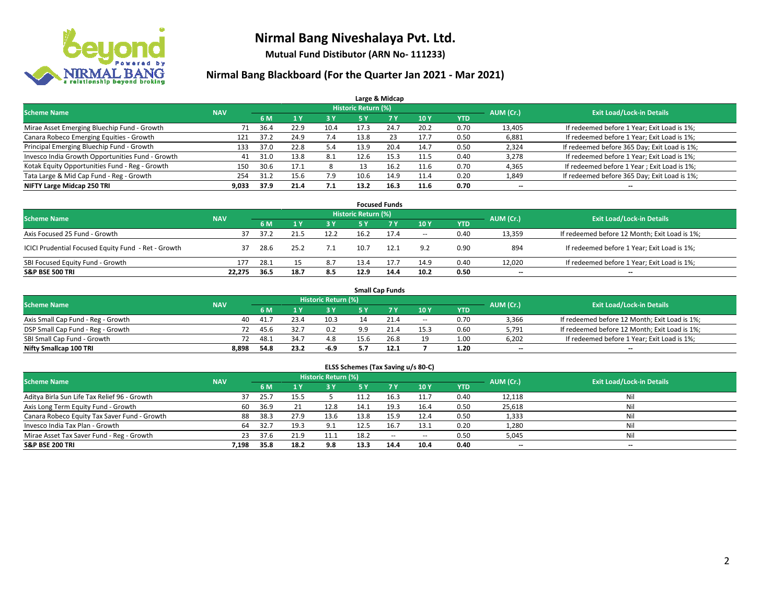

**Mutual Fund Distibutor (ARN No- 111233)**

| Large & Midcap                                   |            |      |              |           |                            |      |      |            |           |                                              |  |  |  |
|--------------------------------------------------|------------|------|--------------|-----------|----------------------------|------|------|------------|-----------|----------------------------------------------|--|--|--|
| <b>Scheme Name</b>                               | <b>NAV</b> |      |              |           | <b>Historic Return (%)</b> |      |      |            | AUM (Cr.) | <b>Exit Load/Lock-in Details</b>             |  |  |  |
|                                                  |            | 6 M  | $\sqrt{1}$ Y | <b>3Y</b> | 5 Y                        | 7Y   | 10Y  | <b>YTD</b> |           |                                              |  |  |  |
| Mirae Asset Emerging Bluechip Fund - Growth      | 71         | 36.4 | 22.9         | 10.4      | 17.3                       | 24.7 | 20.2 | 0.70       | 13,405    | If redeemed before 1 Year; Exit Load is 1%;  |  |  |  |
| Canara Robeco Emerging Equities - Growth         | 121        | 37.2 | 24.9         | 7.4       | 13.8                       | 23   | 17.7 | 0.50       | 6,881     | If redeemed before 1 Year; Exit Load is 1%;  |  |  |  |
| Principal Emerging Bluechip Fund - Growth        | 133        | 37.0 | 22.8         | 5.4       | 13.9                       | 20.4 | 14.7 | 0.50       | 2,324     | If redeemed before 365 Day; Exit Load is 1%; |  |  |  |
| Invesco India Growth Opportunities Fund - Growth | 41         | 31.0 | 13.8         | 8.1       | 12.6                       | 15.3 | 11.5 | 0.40       | 3,278     | If redeemed before 1 Year; Exit Load is 1%;  |  |  |  |
| Kotak Equity Opportunities Fund - Reg - Growth   | 150        | 30.6 | 17.1         |           |                            | 16.2 | 11.6 | 0.70       | 4,365     | If redeemed before 1 Year; Exit Load is 1%;  |  |  |  |
| Tata Large & Mid Cap Fund - Reg - Growth         | 254        | 31.2 | 15.6         | 7.9       | 10.6                       | 14.9 | 11.4 | 0.20       | 1,849     | If redeemed before 365 Day; Exit Load is 1%; |  |  |  |
| NIFTY Large Midcap 250 TRI                       | 9,033      | 37.9 | 21.4         | 7.1       | 13.2                       | 16.3 | 11.6 | 0.70       | --        | --                                           |  |  |  |

| <b>Focused Funds</b>                                |            |      |      |      |                     |      |        |            |           |                                               |  |  |  |
|-----------------------------------------------------|------------|------|------|------|---------------------|------|--------|------------|-----------|-----------------------------------------------|--|--|--|
| <b>Scheme Name</b>                                  | <b>NAV</b> |      |      |      | Historic Return (%) |      |        |            | AUM (Cr.) | <b>Exit Load/Lock-in Details</b>              |  |  |  |
|                                                     |            | 6 M  |      | 3 Y  | 5 Y                 |      | 10Y    | <b>YTD</b> |           |                                               |  |  |  |
| Axis Focused 25 Fund - Growth                       | 37         | 37.2 |      | 12.2 | 16.2                | 17.4 | $\sim$ | 0.40       | 13,359    | If redeemed before 12 Month; Exit Load is 1%; |  |  |  |
| ICICI Prudential Focused Equity Fund - Ret - Growth | 37         | 28.6 | 25.2 | 7.1  | 10.7                | 12.1 | 9.2    | 0.90       | 894       | If redeemed before 1 Year; Exit Load is 1%;   |  |  |  |
| SBI Focused Equity Fund - Growth                    | 177        | 28.1 |      | 8.7  | 13.4                |      | 14.9   | 0.40       | 12,020    | If redeemed before 1 Year; Exit Load is 1%;   |  |  |  |
| <b>S&amp;P BSE 500 TRI</b>                          | 22.275     | 36.5 | 18.7 | 8.5  | 12.9                | 14.4 | 10.2   | 0.50       | $- -$     | $\overline{\phantom{a}}$                      |  |  |  |

| <b>Small Cap Funds</b>             |            |           |                                  |      |              |      |                          |            |       |                                               |  |  |  |
|------------------------------------|------------|-----------|----------------------------------|------|--------------|------|--------------------------|------------|-------|-----------------------------------------------|--|--|--|
| <b>Scheme Name</b>                 | <b>NAV</b> | AUM (Cr.) | <b>Exit Load/Lock-in Details</b> |      |              |      |                          |            |       |                                               |  |  |  |
|                                    |            | 6 M       |                                  | 3 Y  |              |      | 10Y                      | <b>YTD</b> |       |                                               |  |  |  |
| Axis Small Cap Fund - Reg - Growth | 40         | 41.7      |                                  | 10.3 |              | 21.4 | $\overline{\phantom{a}}$ | 0.70       | 3,366 | If redeemed before 12 Month; Exit Load is 1%; |  |  |  |
| DSP Small Cap Fund - Reg - Growth  | 72.        | 45.6      | .32.T                            | 0.2  | q q          |      | 15.3                     | 0.60       | 5,791 | If redeemed before 12 Month; Exit Load is 1%; |  |  |  |
| SBI Small Cap Fund - Growth        |            | 48.1      | 34.7                             | 4.8  | 15.6         |      | 19                       | 1.00       | 6,202 | If redeemed before 1 Year; Exit Load is 1%;   |  |  |  |
| Nifty Smallcap 100 TRI             | 8.898      | 54.8      | 23.2                             | -6.9 | . . <i>.</i> | 12.1 |                          | 1.20       | $- -$ | $- -$                                         |  |  |  |

| ELSS Schemes (Tax Saving u/s 80-C)           |                                  |      |           |      |           |        |            |            |           |        |  |  |  |
|----------------------------------------------|----------------------------------|------|-----------|------|-----------|--------|------------|------------|-----------|--------|--|--|--|
| <b>Scheme Name</b>                           | <b>Exit Load/Lock-in Details</b> |      |           |      |           |        |            |            |           |        |  |  |  |
|                                              | <b>NAV</b>                       | 6 M  | <b>1Y</b> | 3 Y  | <b>5Y</b> | 7V     | <b>10Y</b> | <b>YTD</b> | AUM (Cr.) |        |  |  |  |
| Aditya Birla Sun Life Tax Relief 96 - Growth | 37                               | 25.7 | 15.5      |      | 11.2      | 16.3   | 11.7       | 0.40       | 12,118    | Nil    |  |  |  |
| Axis Long Term Equity Fund - Growth          | 60                               | 36.9 | 21        | 12.8 | 14.1      | 19.3   | 16.4       | 0.50       | 25,618    | Nil    |  |  |  |
| Canara Robeco Equity Tax Saver Fund - Growth | 88                               | 38.3 | 27.9      | 13.6 | 13.8      | 15.9   | 12.4       | 0.50       | 1,333     | Nil    |  |  |  |
| Invesco India Tax Plan - Growth              | 64                               | 32.7 | 19.3      | 9.1  | 12.5      | 16.7   | 13.1       | 0.20       | 1,280     | Nil    |  |  |  |
| Mirae Asset Tax Saver Fund - Reg - Growth    | 23                               | 37.6 | 21.9      | 11.1 | 18.2      | $\sim$ | $\sim$     | 0.50       | 5,045     | Nil    |  |  |  |
| S&P BSE 200 TRI                              | 7,198                            | 35.8 | 18.2      | 9.8  | 13.3      | 14.4   | 10.4       | 0.40       | $- -$     | $\sim$ |  |  |  |
|                                              |                                  |      |           |      |           |        |            |            |           |        |  |  |  |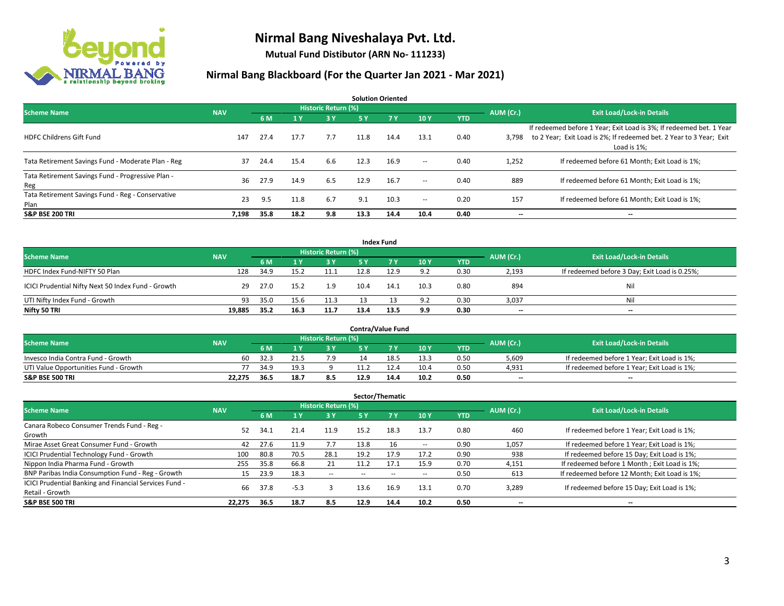

**Mutual Fund Distibutor (ARN No- 111233)**

| <b>Solution Oriented</b>                                  |            |      |      |                            |      |           |        |            |           |                                                                                                                                                           |  |  |  |
|-----------------------------------------------------------|------------|------|------|----------------------------|------|-----------|--------|------------|-----------|-----------------------------------------------------------------------------------------------------------------------------------------------------------|--|--|--|
| <b>Scheme Name</b>                                        | <b>NAV</b> |      |      | <b>Historic Return (%)</b> |      |           |        |            | AUM (Cr.) | <b>Exit Load/Lock-in Details</b>                                                                                                                          |  |  |  |
|                                                           |            | 6 M  | 1 Y  | 3 Y                        | 5 Y  | <b>7Y</b> | 10Y    | <b>YTD</b> |           |                                                                                                                                                           |  |  |  |
| <b>HDFC Childrens Gift Fund</b>                           | 147        | 27.4 | 17.7 | 7.7                        | 11.8 | 14.4      | 13.1   | 0.40       | 3.798     | If redeemed before 1 Year; Exit Load is 3%; If redeemed bet. 1 Year<br>to 2 Year; Exit Load is 2%; If redeemed bet. 2 Year to 3 Year; Exit<br>Load is 1%; |  |  |  |
| Tata Retirement Savings Fund - Moderate Plan - Reg        | 37         | 24.4 | 15.4 | 6.6                        | 12.3 | 16.9      | $\sim$ | 0.40       | 1,252     | If redeemed before 61 Month; Exit Load is 1%;                                                                                                             |  |  |  |
| Tata Retirement Savings Fund - Progressive Plan -<br>Reg  | 36         | 27.9 | 14.9 | 6.5                        | 12.9 | 16.7      | $\sim$ | 0.40       | 889       | If redeemed before 61 Month; Exit Load is 1%;                                                                                                             |  |  |  |
| Tata Retirement Savings Fund - Reg - Conservative<br>Plan | 23         | 9.5  | 11.8 | 6.7                        | 9.1  | 10.3      | $\sim$ | 0.20       | 157       | If redeemed before 61 Month: Exit Load is 1%:                                                                                                             |  |  |  |
| <b>S&amp;P BSE 200 TRI</b>                                | 7.198      | 35.8 | 18.2 | 9.8                        | 13.3 | 14.4      | 10.4   | 0.40       | --        | --                                                                                                                                                        |  |  |  |

| <b>Index Fund</b>                                  |            |                                  |      |      |      |           |      |            |       |                                               |  |  |  |  |
|----------------------------------------------------|------------|----------------------------------|------|------|------|-----------|------|------------|-------|-----------------------------------------------|--|--|--|--|
| <b>Scheme Name</b>                                 | AUM (Cr.)  | <b>Exit Load/Lock-in Details</b> |      |      |      |           |      |            |       |                                               |  |  |  |  |
|                                                    | <b>NAV</b> | 6 M                              |      | 3 Y  | 5 Y  | <b>7Y</b> | 10Y  | <b>YTD</b> |       |                                               |  |  |  |  |
| HDFC Index Fund-NIFTY 50 Plan                      | 128        | 34.9                             | 15.2 | 11.1 | 12.8 | 12.9      | 9.2  | 0.30       | 2,193 | If redeemed before 3 Day; Exit Load is 0.25%; |  |  |  |  |
| ICICI Prudential Nifty Next 50 Index Fund - Growth | 29         | 27.0                             | 15.2 | 1.9  | 10.4 | 14.1      | 10.3 | 0.80       | 894   | Nil                                           |  |  |  |  |
| UTI Nifty Index Fund - Growth                      | 93         | 35.0                             | 15.6 | 11.3 |      |           | 9.2  | 0.30       | 3,037 | Nil                                           |  |  |  |  |
| Nifty 50 TRI                                       | 19,885     | 35.2                             | 16.3 | 11.7 | 13.4 | 13.5      | 9.9  | 0.30       | $- -$ | $\overline{\phantom{a}}$                      |  |  |  |  |

|                                       |            |       |      |                            |      | <b>Contra/Value Fund</b> |      |      |           |                                             |
|---------------------------------------|------------|-------|------|----------------------------|------|--------------------------|------|------|-----------|---------------------------------------------|
| <b>Scheme Name</b>                    | <b>NAV</b> |       |      | <b>Historic Return (%)</b> |      |                          |      |      | AUM (Cr.) | <b>Exit Load/Lock-in Details</b>            |
|                                       |            | 6 M   |      | 2 V.                       |      | 7 V                      | 10Y  | YTD  |           |                                             |
| Invesco India Contra Fund - Growth    | 60         | -32.3 |      |                            |      | 18.5                     | 13.3 | 0.50 | 5,609     | If redeemed before 1 Year; Exit Load is 1%; |
| UTI Value Opportunities Fund - Growth |            | 34.9  | 19.5 |                            |      |                          | 10.4 | 0.50 | 4,931     | If redeemed before 1 Year; Exit Load is 1%; |
| <b>S&amp;P BSE 500 TRI</b>            | 22.275     | 36.5  | 18.7 | 8.5                        | 12.9 | 14.4                     | 10.2 | 0.50 | $- -$     | $- -$                                       |

| Sector/Thematic                                                           |            |      |                |                     |      |                |      |            |           |                                               |  |  |  |
|---------------------------------------------------------------------------|------------|------|----------------|---------------------|------|----------------|------|------------|-----------|-----------------------------------------------|--|--|--|
| <b>Scheme Name</b>                                                        | <b>NAV</b> |      |                | Historic Return (%) |      |                |      |            | AUM (Cr.) | <b>Exit Load/Lock-in Details</b>              |  |  |  |
|                                                                           |            | 6 M  | A <sub>Y</sub> | <b>3Y</b>           | 5 Y  | 7 <sub>V</sub> | 10Y  | <b>YTD</b> |           |                                               |  |  |  |
| Canara Robeco Consumer Trends Fund - Reg -<br>Growth                      | 52         | 34.1 | 21.4           | 11.9                | 15.2 | 18.3           | 13.7 | 0.80       | 460       | If redeemed before 1 Year; Exit Load is 1%;   |  |  |  |
| Mirae Asset Great Consumer Fund - Growth                                  | 42         | 27.6 | 11.9           | 7.7                 | 13.8 | 16             | --   | 0.90       | 1,057     | If redeemed before 1 Year; Exit Load is 1%;   |  |  |  |
| ICICI Prudential Technology Fund - Growth                                 | 100        | 80.8 | 70.5           | 28.1                | 19.2 | 17.9           | 17.2 | 0.90       | 938       | If redeemed before 15 Day; Exit Load is 1%;   |  |  |  |
| Nippon India Pharma Fund - Growth                                         | 255        | 35.8 | 66.8           | 21                  | 11.2 | 17.1           | 15.9 | 0.70       | 4,151     | If redeemed before 1 Month; Exit Load is 1%;  |  |  |  |
| BNP Paribas India Consumption Fund - Reg - Growth                         | 15         | 23.9 | 18.3           | $\sim$              | --   | $\sim$         | --   | 0.50       | 613       | If redeemed before 12 Month; Exit Load is 1%; |  |  |  |
| ICICI Prudential Banking and Financial Services Fund -<br>Retail - Growth | 66         | 37.8 | $-5.3$         |                     | 13.6 | 16.9           | 13.1 | 0.70       | 3,289     | If redeemed before 15 Day; Exit Load is 1%;   |  |  |  |
| <b>S&amp;P BSE 500 TRI</b>                                                | 22.275     | 36.5 | 18.7           | 8.5                 | 12.9 | 14.4           | 10.2 | 0.50       | --        | --                                            |  |  |  |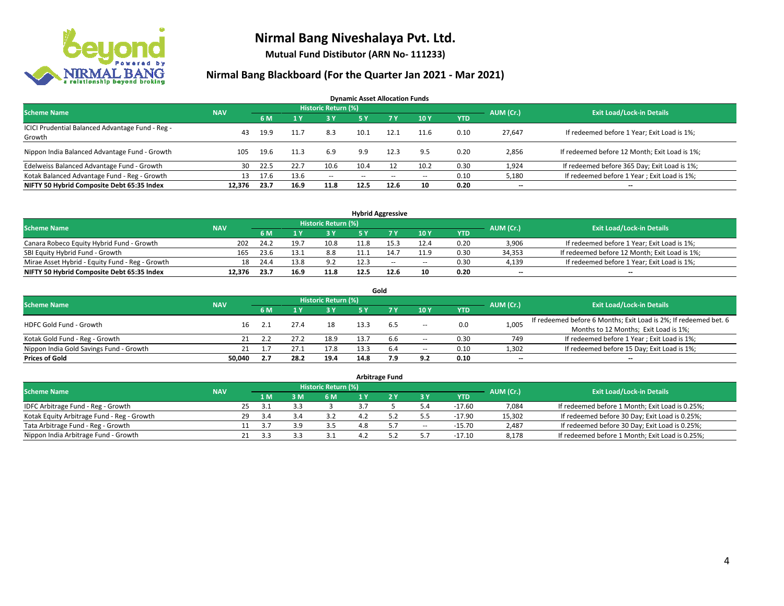

**Mutual Fund Distibutor (ARN No- 111233)**

| <b>Dynamic Asset Allocation Funds</b>                      |            |      |      |                     |               |        |      |            |                          |                                               |  |  |  |
|------------------------------------------------------------|------------|------|------|---------------------|---------------|--------|------|------------|--------------------------|-----------------------------------------------|--|--|--|
| <b>Scheme Name</b>                                         | <b>NAV</b> |      |      | Historic Return (%) |               |        |      |            | AUM (Cr.)                | <b>Exit Load/Lock-in Details</b>              |  |  |  |
|                                                            |            | 6 M  |      | 73 Y.               | 5 Y           | 7Y     | 10Y  | <b>YTD</b> |                          |                                               |  |  |  |
| ICICI Prudential Balanced Advantage Fund - Reg -<br>Growth | 43         | 19.9 | 11.7 | 8.3                 | 10.1          | 12.1   | 11.6 | 0.10       | 27,647                   | If redeemed before 1 Year; Exit Load is 1%;   |  |  |  |
| Nippon India Balanced Advantage Fund - Growth              | 105        | 19.6 | 11.3 | 6.9                 | 9.9           | 12.3   | 9.5  | 0.20       | 2,856                    | If redeemed before 12 Month; Exit Load is 1%; |  |  |  |
| Edelweiss Balanced Advantage Fund - Growth                 | 30         | 22.5 | 22.7 | 10.6                | 10.4          | 12     | 10.2 | 0.30       | 1,924                    | If redeemed before 365 Day; Exit Load is 1%;  |  |  |  |
| Kotak Balanced Advantage Fund - Reg - Growth               | 13         | 17.6 | 13.6 | $\sim$ $-$          | $\sim$ $\sim$ | $\sim$ | --   | 0.10       | 5,180                    | If redeemed before 1 Year; Exit Load is 1%;   |  |  |  |
| NIFTY 50 Hybrid Composite Debt 65:35 Index                 | 12.376     | 23.7 | 16.9 | 11.8                | 12.5          | 12.6   | 10   | 0.20       | $\overline{\phantom{a}}$ | $\overline{\phantom{a}}$                      |  |  |  |

| <b>Hybrid Aggressive</b>                        |            |      |                                  |      |      |      |        |            |           |                                               |  |  |  |  |
|-------------------------------------------------|------------|------|----------------------------------|------|------|------|--------|------------|-----------|-----------------------------------------------|--|--|--|--|
| <b>Scheme Name</b>                              | <b>NAV</b> |      | <b>Exit Load/Lock-in Details</b> |      |      |      |        |            |           |                                               |  |  |  |  |
|                                                 |            | 6 M  |                                  |      |      |      | 10Y    | <b>YTD</b> | AUM (Cr.) |                                               |  |  |  |  |
| Canara Robeco Equity Hybrid Fund - Growth       | 202        | 24.2 | 19.                              | 10.8 |      |      | 12.4   | 0.20       | 3,906     | If redeemed before 1 Year; Exit Load is 1%;   |  |  |  |  |
| SBI Equity Hybrid Fund - Growth                 | 165        | 23.6 | 13.1                             | 8.8  |      |      | 11.9   | 0.30       | 34,353    | If redeemed before 12 Month; Exit Load is 1%; |  |  |  |  |
| Mirae Asset Hybrid - Equity Fund - Reg - Growth | 18         | 24.4 | 13.8                             | 9.2  | 12.3 | $-$  | $\sim$ | 0.30       | 4,139     | If redeemed before 1 Year; Exit Load is 1%;   |  |  |  |  |
| NIFTY 50 Hybrid Composite Debt 65:35 Index      | 12.376     | 23.7 | 16.9                             | 11.8 | 12.5 | 12.6 | 10     | 0.20       | $- -$     | $\overline{\phantom{a}}$                      |  |  |  |  |

| Gold                                    |            |     |      |                     |      |     |                          |      |                          |                                                                  |  |  |  |  |
|-----------------------------------------|------------|-----|------|---------------------|------|-----|--------------------------|------|--------------------------|------------------------------------------------------------------|--|--|--|--|
| <b>Scheme Name</b>                      | <b>NAV</b> |     |      | Historic Return (%) |      |     |                          |      | AUM (Cr.)                | <b>Exit Load/Lock-in Details</b>                                 |  |  |  |  |
|                                         |            | 6 M |      | 3 Y                 | 5 V  |     | 10Y                      | YTD  |                          |                                                                  |  |  |  |  |
| <b>HDFC Gold Fund - Growth</b>          | 16         |     |      | 18                  | 13.3 | 6.5 |                          | 0.0  | 1,005                    | If redeemed before 6 Months; Exit Load is 2%; If redeemed bet. 6 |  |  |  |  |
|                                         |            |     |      |                     |      |     | $\overline{\phantom{a}}$ |      |                          | Months to 12 Months; Exit Load is 1%;                            |  |  |  |  |
| Kotak Gold Fund - Reg - Growth          |            |     |      | 18.9                |      | 6.6 | $\overline{\phantom{a}}$ | 0.30 | 749                      | If redeemed before 1 Year; Exit Load is 1%;                      |  |  |  |  |
| Nippon India Gold Savings Fund - Growth |            |     |      | 17.8                |      | 6.4 | $\overline{\phantom{a}}$ | 0.10 | 1,302                    | If redeemed before 15 Day; Exit Load is 1%;                      |  |  |  |  |
| <b>Prices of Gold</b>                   | 50.040     | 2.7 | 28.2 | 19.4                | 14.8 | 7.9 | 9.2                      | 0.10 | $\overline{\phantom{a}}$ | --                                                               |  |  |  |  |

| <b>Arbitrage Fund</b>                      |            |     |      |  |                            |  |  |                          |            |           |                                                 |  |  |  |
|--------------------------------------------|------------|-----|------|--|----------------------------|--|--|--------------------------|------------|-----------|-------------------------------------------------|--|--|--|
| <b>Scheme Name</b>                         | <b>NAV</b> |     |      |  | <b>Historic Return (%)</b> |  |  |                          |            | AUM (Cr.) | <b>Exit Load/Lock-in Details</b>                |  |  |  |
|                                            |            |     | 1 M. |  | 6 M                        |  |  | <b>3Y</b>                | <b>YTD</b> |           |                                                 |  |  |  |
| IDFC Arbitrage Fund - Reg - Growth         |            | 25. | -21  |  |                            |  |  |                          | $-17.60$   | 7,084     | If redeemed before 1 Month; Exit Load is 0.25%; |  |  |  |
| Kotak Equity Arbitrage Fund - Reg - Growth |            | 29  | -3.4 |  |                            |  |  | 5.5                      | $-17.90$   | 15,302    | If redeemed before 30 Day; Exit Load is 0.25%;  |  |  |  |
| Tata Arbitrage Fund - Reg - Growth         |            |     |      |  | 3.5                        |  |  | $\overline{\phantom{a}}$ | $-15.70$   | 2,487     | If redeemed before 30 Day; Exit Load is 0.25%;  |  |  |  |
| Nippon India Arbitrage Fund - Growth       |            | 21  |      |  |                            |  |  |                          | $-17.10$   | 8,178     | If redeemed before 1 Month; Exit Load is 0.25%; |  |  |  |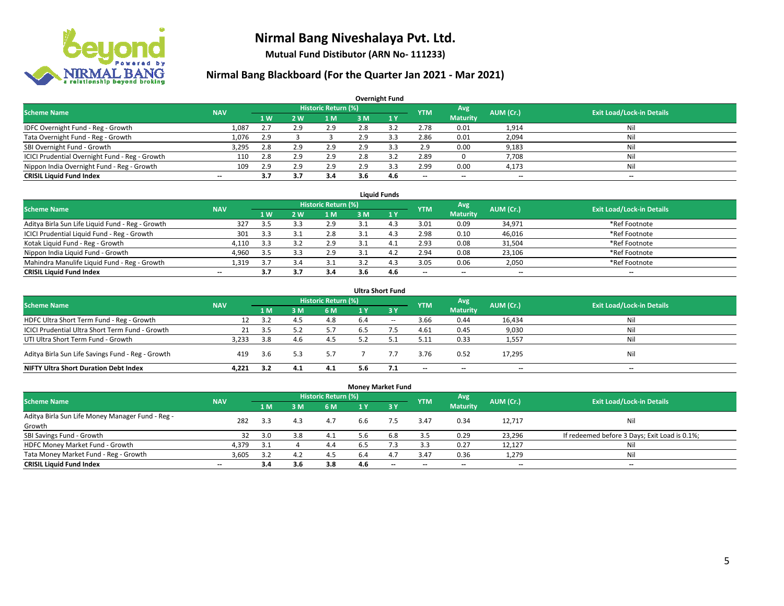

**Mutual Fund Distibutor (ARN No- 111233)**

| <b>Overnight Fund</b>                          |            |     |     |                            |     |     |            |                 |                          |                                  |  |  |  |  |
|------------------------------------------------|------------|-----|-----|----------------------------|-----|-----|------------|-----------------|--------------------------|----------------------------------|--|--|--|--|
| <b>Scheme Name</b>                             | <b>NAV</b> |     |     | <b>Historic Return (%)</b> |     |     | <b>YTM</b> | <b>Avg</b>      | AUM (Cr.)                | <b>Exit Load/Lock-in Details</b> |  |  |  |  |
|                                                |            | 1W  | 2 W | l M                        | 3 M | 1Y  |            | <b>Maturity</b> |                          |                                  |  |  |  |  |
| IDFC Overnight Fund - Reg - Growth             | 1.087      | 2.7 | 2.9 | 2.9                        | 2.8 | 3.2 | 2.78       | 0.01            | 1,914                    | Nil                              |  |  |  |  |
| Tata Overnight Fund - Reg - Growth             | 1,076      | 2.9 |     |                            | 2.9 | 3.3 | 2.86       | 0.01            | 2,094                    | Nil                              |  |  |  |  |
| SBI Overnight Fund - Growth                    | 3,295      | 2.8 | 2.9 | 2.9                        | 2.9 |     | 2.9        | 0.00            | 9,183                    | Nil                              |  |  |  |  |
| ICICI Prudential Overnight Fund - Reg - Growth | 110        | 2.8 | 2.9 | 2.9                        | 2.8 |     | 2.89       |                 | 7,708                    | Nil                              |  |  |  |  |
| Nippon India Overnight Fund - Reg - Growth     | 109        | 2.9 | 2.9 | 2.9                        | 2.9 |     | 2.99       | 0.00            | 4,173                    | Nil                              |  |  |  |  |
| <b>CRISIL Liquid Fund Index</b>                | $- -$      | 3.7 | 3.7 | 3.4                        | 3.6 | 4.6 | --         | --              | $\overline{\phantom{m}}$ | --                               |  |  |  |  |

| <b>Liquid Funds</b>                              |            |                |     |                            |     |      |                          |                          |                          |                                  |  |  |  |
|--------------------------------------------------|------------|----------------|-----|----------------------------|-----|------|--------------------------|--------------------------|--------------------------|----------------------------------|--|--|--|
| <b>Scheme Name</b>                               | <b>NAV</b> |                |     | <b>Historic Return (%)</b> |     |      | <b>YTM</b>               | Avg                      | AUM (Cr.)                | <b>Exit Load/Lock-in Details</b> |  |  |  |
|                                                  |            | 1 <sub>W</sub> | 2 W | 1 M                        | 3 M |      |                          | <b>Maturity</b>          |                          |                                  |  |  |  |
| Aditya Birla Sun Life Liquid Fund - Reg - Growth | 327        | -3.5           |     | 2.9                        |     |      | 3.01                     | 0.09                     | 34,971                   | *Ref Footnote                    |  |  |  |
| ICICI Prudential Liquid Fund - Reg - Growth      | 301        | 3.3            |     | 2.8                        |     | 4.   | 2.98                     | 0.10                     | 46,016                   | *Ref Footnote                    |  |  |  |
| Kotak Liquid Fund - Reg - Growth                 | 4,110      | 3.3            |     | 2.9                        |     | 4. . | 2.93                     | 0.08                     | 31,504                   | *Ref Footnote                    |  |  |  |
| Nippon India Liquid Fund - Growth                | 4,960      | -3.5           |     | 2.9                        |     | 4.   | 2.94                     | 0.08                     | 23,106                   | *Ref Footnote                    |  |  |  |
| Mahindra Manulife Liquid Fund - Reg - Growth     | 1,319      | 3.7            |     |                            |     | 4.:  | 3.05                     | 0.06                     | 2,050                    | *Ref Footnote                    |  |  |  |
| <b>CRISIL Liquid Fund Index</b>                  | $- -$      |                |     |                            | 3.6 | 4.6  | $\overline{\phantom{a}}$ | $\overline{\phantom{a}}$ | $\overline{\phantom{a}}$ | $-$                              |  |  |  |

| <b>Ultra Short Fund</b>                           |            |     |      |                            |     |                               |                          |                          |           |                                  |  |  |  |
|---------------------------------------------------|------------|-----|------|----------------------------|-----|-------------------------------|--------------------------|--------------------------|-----------|----------------------------------|--|--|--|
| <b>Scheme Name</b>                                | <b>NAV</b> |     |      | <b>Historic Return (%)</b> |     |                               | <b>YTM</b>               | Avg                      | AUM (Cr.) | <b>Exit Load/Lock-in Details</b> |  |  |  |
|                                                   |            | 1 M | 3 M  | 6 M                        | 1 Y | $\overline{3}$ $\overline{Y}$ |                          | <b>Maturity</b>          |           |                                  |  |  |  |
| HDFC Ultra Short Term Fund - Reg - Growth         | 12         | 3.2 | 4.5  | 4.8                        | 6.4 | $\sim$                        | 3.66                     | 0.44                     | 16,434    | Nil                              |  |  |  |
| ICICI Prudential Ultra Short Term Fund - Growth   | 21         | 3.5 |      | 5.7                        | 6.5 |                               | 4.61                     | 0.45                     | 9,030     | Nil                              |  |  |  |
| UTI Ultra Short Term Fund - Growth                | 3,233      | 3.8 | -4.6 | 4.5                        | 5.2 |                               | 5.11                     | 0.33                     | 1,557     | Ni                               |  |  |  |
| Aditya Birla Sun Life Savings Fund - Reg - Growth | 419        | 3.6 | 5.3  | 5.7                        |     |                               | 3.76                     | 0.52                     | 17,295    | Nil                              |  |  |  |
| <b>NIFTY Ultra Short Duration Debt Index</b>      | 4.221      | 3.2 | 4.1  | 4.1                        | 5.6 |                               | $\overline{\phantom{a}}$ | $\overline{\phantom{a}}$ | $- -$     | $-$                              |  |  |  |

| <b>Money Market Fund</b>                         |            |       |     |                            |                |             |                          |                 |           |                                               |  |  |  |  |
|--------------------------------------------------|------------|-------|-----|----------------------------|----------------|-------------|--------------------------|-----------------|-----------|-----------------------------------------------|--|--|--|--|
| <b>Scheme Name</b>                               | <b>NAV</b> |       |     | <b>Historic Return (%)</b> |                |             | <b>YTM</b>               | Avg             | AUM (Cr.) | <b>Exit Load/Lock-in Details</b>              |  |  |  |  |
|                                                  |            | 1 M   | 3 M | 6 M                        | 1 <sub>V</sub> | <b>23 V</b> |                          | <b>Maturity</b> |           |                                               |  |  |  |  |
| Aditya Birla Sun Life Money Manager Fund - Reg - | 282        | 3.3   | 4.3 | 4.7                        | 6.6            | 7.5         | 3.47                     | 0.34            | 12.717    | Nil                                           |  |  |  |  |
| Growth                                           |            |       |     |                            |                |             |                          |                 |           |                                               |  |  |  |  |
| SBI Savings Fund - Growth                        | 32         | 3.0   | 3.8 | 4.1                        | 5.6            | 6.8         | 3.5                      | 0.29            | 23,296    | If redeemed before 3 Days; Exit Load is 0.1%; |  |  |  |  |
| HDFC Money Market Fund - Growth                  | 4,379      | - 3.1 |     | 4.4                        | 6.5            |             | 3.3                      | 0.27            | 12,127    | Nil                                           |  |  |  |  |
| Tata Money Market Fund - Reg - Growth            | 3,605      | 3.2   | 4.2 | 4.5                        | 6.4            | 4.          | 3.47                     | 0.36            | 1,279     | Nil                                           |  |  |  |  |
| <b>CRISIL Liquid Fund Index</b>                  | $- -$      | 3.4   | 3.6 | 3.8                        | 4.6            | $-$         | $\overline{\phantom{a}}$ | $- -$           | $- -$     | $-$                                           |  |  |  |  |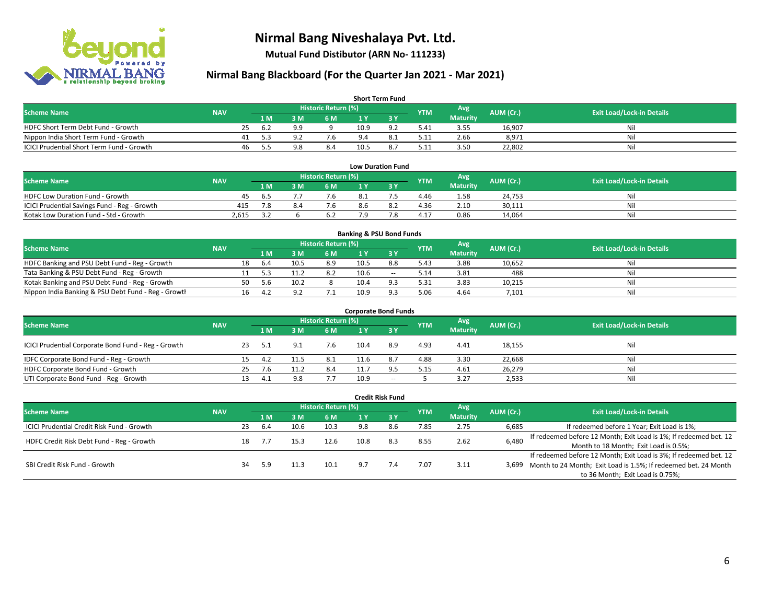

**Mutual Fund Distibutor (ARN No- 111233)**

| <b>Short Term Fund</b>                    |            |    |      |     |                            |      |                |            |                 |           |                                  |  |  |  |
|-------------------------------------------|------------|----|------|-----|----------------------------|------|----------------|------------|-----------------|-----------|----------------------------------|--|--|--|
| <b>Scheme Name</b>                        | <b>NAV</b> |    |      |     | <b>Historic Return (%)</b> |      |                | <b>YTM</b> | Avg             | AUM (Cr.) | <b>Exit Load/Lock-in Details</b> |  |  |  |
|                                           |            |    | 1 M. | 8 M | 6 M                        |      |                |            | <b>Maturity</b> |           |                                  |  |  |  |
| HDFC Short Term Debt Fund - Growth        |            | 25 | -62  | QQ  |                            | 10.9 | Q <sub>0</sub> | 5.41       | 3.55            | 16,907    | Ni                               |  |  |  |
| Nippon India Short Term Fund - Growth     |            | 41 | -5.3 |     | 7.6                        |      |                | 5.11       | 2.66            | 8,971     | Ni.                              |  |  |  |
| ICICI Prudential Short Term Fund - Growth |            | 46 | 5.5  |     | 8.4                        | 10.5 | 8.             | 5.11       | 3.50            | 22,802    | Nil                              |  |  |  |

| <b>Low Duration Fund</b>                     |            |       |  |                     |     |  |            |                 |           |                                  |  |  |  |  |
|----------------------------------------------|------------|-------|--|---------------------|-----|--|------------|-----------------|-----------|----------------------------------|--|--|--|--|
| <b>Scheme Name</b>                           | <b>NAV</b> |       |  | Historic Return (%) |     |  | <b>YTM</b> | Avg             | AUM (Cr.) | <b>Exit Load/Lock-in Details</b> |  |  |  |  |
|                                              |            | 1 M   |  | 6 M                 |     |  |            | <b>Maturity</b> |           |                                  |  |  |  |  |
| <b>HDFC Low Duration Fund - Growth</b>       | 45         | . ხ.ა |  | 7.6                 | 8.1 |  | 4.46       | 1.58            | 24,753    | Nil                              |  |  |  |  |
| ICICI Prudential Savings Fund - Reg - Growth | 415        | 7.8   |  | 7.6                 | 8.6 |  | 4.36       | 2.10            | 30,111    | Nil                              |  |  |  |  |
| Kotak Low Duration Fund - Std - Growth       | 2.615      |       |  | 6.2                 | ہ 7 |  | 4.17       | 0.86            | 14.064    | Nil                              |  |  |  |  |

| <b>Banking &amp; PSU Bond Funds</b>                 |            |     |      |      |                     |      |                |            |                 |           |                                  |  |  |  |
|-----------------------------------------------------|------------|-----|------|------|---------------------|------|----------------|------------|-----------------|-----------|----------------------------------|--|--|--|
| <b>Scheme Name</b>                                  | <b>NAV</b> |     |      |      | Historic Return (%) |      |                | <b>YTM</b> | Avg             | AUM (Cr.) | <b>Exit Load/Lock-in Details</b> |  |  |  |
|                                                     |            |     | 1 M. | ιм   | 6 M                 |      |                |            | <b>Maturity</b> |           |                                  |  |  |  |
| HDFC Banking and PSU Debt Fund - Reg - Growth       |            | 18  | 6.4  | 10.5 | 8.9                 | 10.5 | 8.8            | 5.43       | 3.88            | 10,652    | Nil                              |  |  |  |
| Tata Banking & PSU Debt Fund - Reg - Growth         |            |     |      |      | 8.2                 | 10.6 | $-$            | 5.14       | 3.81            | 488       | Nil                              |  |  |  |
| Kotak Banking and PSU Debt Fund - Reg - Growth      |            | 50. | 5.b  | 10.2 |                     | 10.4 | Q <sub>2</sub> | 5.31       | 3.83            | 10.215    | Nil                              |  |  |  |
| Nippon India Banking & PSU Debt Fund - Reg - Growth |            | 16  | 4.2  | Q    | ـ                   | 10.9 | O 3            | 5.06       | 4.64            | 7,101     | Nil                              |  |  |  |

| <b>Corporate Bond Funds</b>                         |            |    |      |     |                            |      |       |            |                 |           |                                  |  |  |  |
|-----------------------------------------------------|------------|----|------|-----|----------------------------|------|-------|------------|-----------------|-----------|----------------------------------|--|--|--|
| <b>Scheme Name</b>                                  |            |    |      |     | <b>Historic Return (%)</b> |      |       | <b>YTM</b> | Avg             | AUM (Cr.) | <b>Exit Load/Lock-in Details</b> |  |  |  |
|                                                     | <b>NAV</b> |    | 1 M  | M   | 6 M                        | 1 Y  | 73 Y  |            | <b>Maturity</b> |           |                                  |  |  |  |
| ICICI Prudential Corporate Bond Fund - Reg - Growth |            |    | 5.1  | Q.  |                            | 10.4 | 8.9   | 4.93       | 4.41            | 18,155    | Nil                              |  |  |  |
| IDFC Corporate Bond Fund - Reg - Growth             |            | 15 | 4.2  |     | 8.1                        | 11.6 | 8.7   | 4.88       | 3.30            | 22,668    | Nil                              |  |  |  |
| HDFC Corporate Bond Fund - Growth                   |            | 25 | 7.6  |     | 8.4                        | 11.7 | 9.5   | 5.15       | 4.61            | 26,279    | Nil                              |  |  |  |
| UTI Corporate Bond Fund - Reg - Growth              |            |    | -4.1 | 9.8 | 7.7                        | 10.9 | $- -$ |            | 3.27            | 2,533     | Nil                              |  |  |  |

| <b>Credit Risk Fund</b>                    |            |    |     |                                     |                            |                                       |           |            |                 |           |                                                                       |  |
|--------------------------------------------|------------|----|-----|-------------------------------------|----------------------------|---------------------------------------|-----------|------------|-----------------|-----------|-----------------------------------------------------------------------|--|
| <b>Scheme Name</b>                         | <b>NAV</b> |    |     |                                     | <b>Historic Return (%)</b> |                                       |           | <b>YTM</b> | Avg             | AUM (Cr.) | <b>Exit Load/Lock-in Details</b>                                      |  |
|                                            |            |    | 1 M | M                                   | 6 M                        |                                       | <b>3Y</b> |            | <b>Maturity</b> |           |                                                                       |  |
| ICICI Prudential Credit Risk Fund - Growth |            | 23 | 6.4 | 10.6                                | 10.3                       | 9.8                                   | 8.6       | 7.85       | 2.75            | 6,685     | If redeemed before 1 Year; Exit Load is 1%;                           |  |
|                                            |            |    |     | 2.62<br>8.3<br>8.55<br>10.8<br>12.6 |                            |                                       |           |            |                 | 6,480     | If redeemed before 12 Month; Exit Load is 1%; If redeemed bet. 12     |  |
| HDFC Credit Risk Debt Fund - Reg - Growth  |            | 18 |     |                                     |                            | Month to 18 Month; Exit Load is 0.5%; |           |            |                 |           |                                                                       |  |
|                                            |            |    |     |                                     |                            |                                       |           |            |                 |           | If redeemed before 12 Month; Exit Load is 3%; If redeemed bet. 12     |  |
| SBI Credit Risk Fund - Growth              |            | 34 | 5.9 |                                     | 10.1                       | 9.7                                   | 7.4       | 7.07       | 3.11            |           | 3,699 Month to 24 Month; Exit Load is 1.5%; If redeemed bet. 24 Month |  |
|                                            |            |    |     |                                     |                            |                                       |           |            |                 |           | to 36 Month; Exit Load is 0.75%;                                      |  |